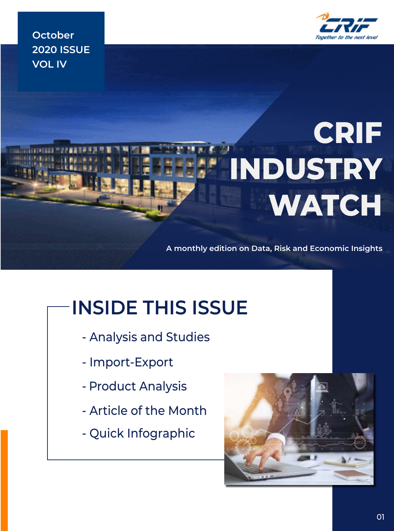

**October 2020 ISSUE VOL IV**

# **CRIF INDUSTRY WATCH**

**A monthly edition on Data, Risk and Economic Insights**

## **INSIDE THIS ISSUE**

- Analysis and Studies
- Import-Export
- Product Analysis
- Article of the Month
- Quick Infographic

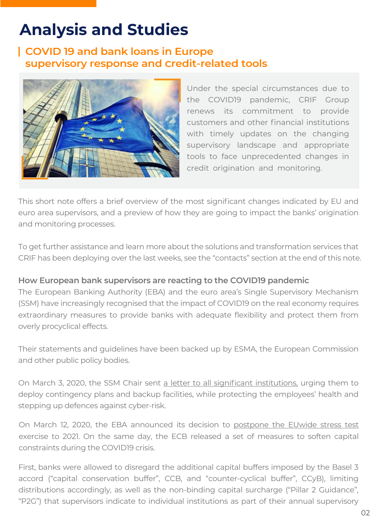### **Analysis and Studies**

#### **COVID 19 and bank loans in Europe supervisory response and Credit-related tools**



Under the special circumstances due to the COVID19 pandemic, CRIF Group renews its commitment to provide customers and other financial institutions with timely updates on the changing supervisory landscape and appropriate tools to face unprecedented changes in credit origination and monitoring.

This short note offers a brief overview of the most significant changes indicated by EU and euro area supervisors, and a preview of how they are going to impact the banks' origination and monitoring processes.

To get further assistance and learn more about the solutions and transformation services that CRIF has been deploying over the last weeks, see the "contacts" section at the end of this note.

#### **How European bank supervisors are reacting to the COVID19 pandemic**

The European Banking Authority (EBA) and the euro area's Single Supervisory Mechanism (SSM) have increasingly recognised that the impact of COVID19 on the real economy requires extraordinary measures to provide banks with adequate flexibility and protect them from overly procyclical effects.

Their statements and guidelines have been backed up by ESMA, the European Commission and other public policy bodies.

On March 3, 2020, the SSM Chair sent a letter to all significant institutions, urging them to deploy contingency plans and backup facilities, while protecting the employees' health and stepping up defences against cyber-risk.

On March 12, 2020, the EBA announced its decision to postpone the EUwide stress test exercise to 2021. On the same day, the ECB released a set of measures to soften capital constraints during the COVID19 crisis.

First, banks were allowed to disregard the additional capital buffers imposed by the Basel 3 accord ("capital conservation buffer", CCB, and "counter-cyclical buffer", CCyB), limiting distributions accordingly, as well as the non-binding capital surcharge ("Pillar 2 Guidance", "P2G") that supervisors indicate to individual institutions as part of their annual supervisory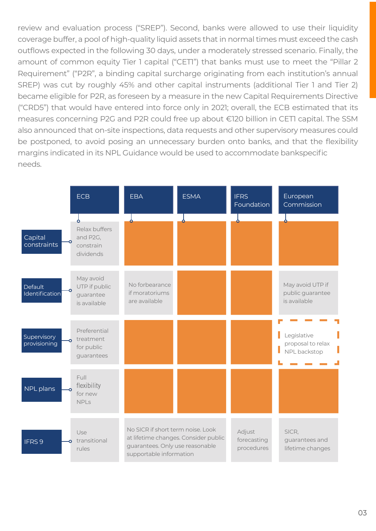review and evaluation process ("SREP"). Second, banks were allowed to use their liquidity coverage buffer, a pool of high-quality liquid assets that in normal times must exceed the cash outflows expected in the following 30 days, under a moderately stressed scenario. Finally, the amount of common equity Tier 1 capital ("CETI") that banks must use to meet the "Pillar 2 Requirement" ("P2R", a binding capital surcharge originating from each institution's annual SREP) was cut by roughly 45% and other capital instruments (additional Tier 1 and Tier 2) became eligible for P2R, as foreseen by a measure in the new Capital Requirements Directive ("CRD5") that would have entered into force only in 2021; overall, the ECB estimated that its measures concerning P2G and P2R could free up about €120 billion in CETI capital. The SSM also announced that on-site inspections, data requests and other supervisory measures could be postponed, to avoid posing an unnecessary burden onto banks, and that the flexibility margins indicated in its NPL Guidance would be used to accommodate bankspecific needs.

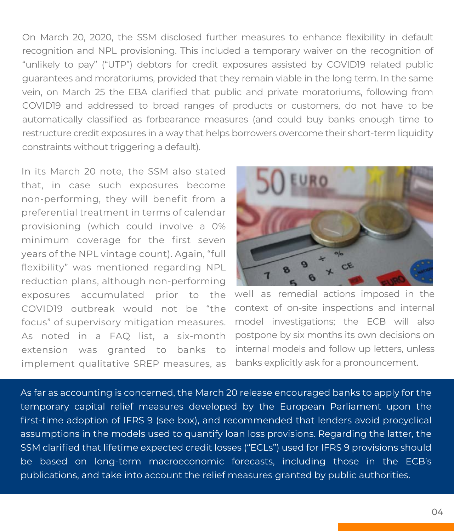On March 20, 2020, the SSM disclosed further measures to enhance flexibility in default recognition and NPL provisioning. This included a temporary waiver on the recognition of "unlikely to pay" ("UTP") debtors for credit exposures assisted by COVID19 related public guarantees and moratoriums, provided that they remain viable in the long term. In the same vein, on March 25 the EBA clarified that public and private moratoriums, following from COVID19 and addressed to broad ranges of products or customers, do not have to be automatically classified as forbearance measures (and could buy banks enough time to restructure credit exposures in a way that helps borrowers overcome their short-term liquidity constraints without triggering a default).

In its March 20 note, the SSM also stated that, in case such exposures become non-performing, they will benefit from a preferential treatment in terms of calendar provisioning (which could involve a 0% minimum coverage for the first seven years of the NPL vintage count). Again, "full flexibility" was mentioned regarding NPL reduction plans, although non-performing exposures accumulated prior to the COVID19 outbreak would not be "the focus" of supervisory mitigation measures. As noted in a FAQ list, a six-month extension was granted to banks to implement qualitative SREP measures, as



well as remedial actions imposed in the context of on-site inspections and internal model investigations; the ECB will also postpone by six months its own decisions on internal models and follow up letters, unless banks explicitly ask for a pronouncement.

As far as accounting is concerned, the March 20 release encouraged banks to apply for the temporary capital relief measures developed by the European Parliament upon the first-time adoption of IFRS 9 (see box), and recommended that lenders avoid procyclical assumptions in the models used to quantify loan loss provisions. Regarding the latter, the SSM clarified that lifetime expected credit losses ("ECLs") used for IFRS 9 provisions should be based on long-term macroeconomic forecasts, including those in the ECB's publications, and take into account the relief measures granted by public authorities.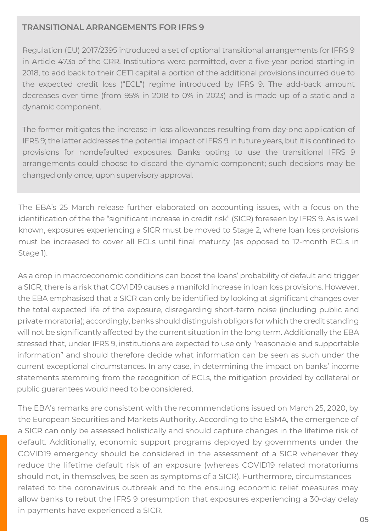#### **TRANSITIONAL ARRANGEMENTS FOR IFRS 9**

Regulation (EU) 2017/2395 introduced a set of optional transitional arrangements for IFRS 9 in Article 473a of the CRR. Institutions were permitted, over a five-year period starting in 2018, to add back to their CETI capital a portion of the additional provisions incurred due to the expected credit loss ("ECL") regime introduced by IFRS 9. The add-back amount decreases over time (from 95% in 2018 to 0% in 2023) and is made up of a static and a dynamic component.

The former mitigates the increase in loss allowances resulting from day-one application of IFRS 9; the latter addresses the potential impact of IFRS 9 in future years, but it is confined to provisions for nondefaulted exposures. Banks opting to use the transitional IFRS 9 arrangements could choose to discard the dynamic component; such decisions may be changed only once, upon supervisory approval.

The EBA's 25 March release further elaborated on accounting issues, with a focus on the identification of the the "significant increase in credit risk" (SICR) foreseen by IFRS 9. As is well known, exposures experiencing a SICR must be moved to Stage 2, where loan loss provisions must be increased to cover all ECLs until final maturity (as opposed to 12-month ECLs in Stage 1).

As a drop in macroeconomic conditions can boost the loans' probability of default and trigger a SICR, there is a risk that COVID19 causes a manifold increase in loan loss provisions. However, the EBA emphasised that a SICR can only be identified by looking at significant changes over the total expected life of the exposure, disregarding short-term noise (including public and private moratoria); accordingly, banks should distinguish obligors for which the credit standing will not be significantly affected by the current situation in the long term. Additionally the EBA stressed that, under IFRS 9, institutions are expected to use only "reasonable and supportable information" and should therefore decide what information can be seen as such under the current exceptional circumstances. In any case, in determining the impact on banks' income statements stemming from the recognition of ECLs, the mitigation provided by collateral or public guarantees would need to be considered.

The EBA's remarks are consistent with the recommendations issued on March 25, 2020, by the European Securities and Markets Authority. According to the ESMA, the emergence of a SICR can only be assessed holistically and should capture changes in the lifetime risk of default. Additionally, economic support programs deployed by governments under the COVID19 emergency should be considered in the assessment of a SICR whenever they reduce the lifetime default risk of an exposure (whereas COVID19 related moratoriums should not, in themselves, be seen as symptoms of a SICR). Furthermore, circumstances related to the coronavirus outbreak and to the ensuing economic relief measures may allow banks to rebut the IFRS 9 presumption that exposures experiencing a 30-day delay in payments have experienced a SICR.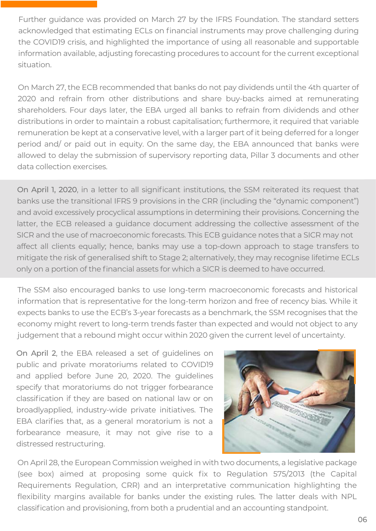Further guidance was provided on March 27 by the IFRS Foundation. The standard setters acknowledged that estimating ECLs on financial instruments may prove challenging during the COVID19 crisis, and highlighted the importance of using all reasonable and supportable information available, adjusting forecasting procedures to account for the current exceptional situation.

On March 27, the ECB recommended that banks do not pay dividends until the 4th quarter of 2020 and refrain from other distributions and share buy-backs aimed at remunerating shareholders. Four days later, the EBA urged all banks to refrain from dividends and other distributions in order to maintain a robust capitalisation; furthermore, it required that variable remuneration be kept at a conservative level, with a larger part of it being deferred for a longer period and/ or paid out in equity. On the same day, the EBA announced that banks were allowed to delay the submission of supervisory reporting data, Pillar 3 documents and other data collection exercises.

On April 1, 2020, in a letter to all significant institutions, the SSM reiterated its request that banks use the transitional IFRS 9 provisions in the CRR (including the "dynamic component") and avoid excessively procyclical assumptions in determining their provisions. Concerning the latter, the ECB released a guidance document addressing the collective assessment of the SICR and the use of macroeconomic forecasts. This ECB guidance notes that a SICR may not affect all clients equally; hence, banks may use a top-down approach to stage transfers to mitigate the risk of generalised shift to Stage 2; alternatively, they may recognise lifetime ECLs only on a portion of the financial assets for which a SICR is deemed to have occurred.

The SSM also encouraged banks to use long-term macroeconomic forecasts and historical information that is representative for the long-term horizon and free of recency bias. While it expects banks to use the ECB's 3-year forecasts as a benchmark, the SSM recognises that the economy might revert to long-term trends faster than expected and would not object to any judgement that a rebound might occur within 2020 given the current level of uncertainty.

On April 2, the EBA released a set of guidelines on public and private moratoriums related to COVID19 and applied before June 20, 2020. The guidelines specify that moratoriums do not trigger forbearance classification if they are based on national law or on broadlyapplied, industry-wide private initiatives. The EBA clarifies that, as a general moratorium is not a forbearance measure, it may not give rise to a distressed restructuring.



On April 28, the European Commission weighed in with two documents, a legislative package (see box) aimed at proposing some quick fix to Regulation 575/2013 (the Capital Requirements Regulation, CRR) and an interpretative communication highlighting the flexibility margins available for banks under the existing rules. The latter deals with NPL classification and provisioning, from both a prudential and an accounting standpoint.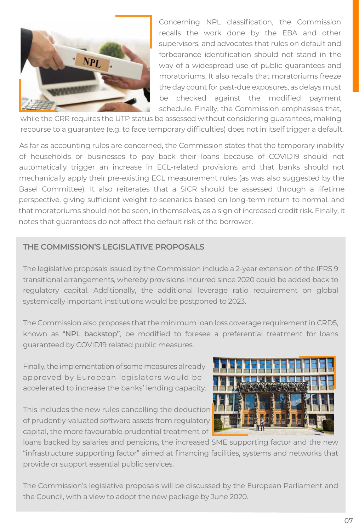

Concerning NPL classification, the Commission recalls the work done by the EBA and other supervisors, and advocates that rules on default and forbearance identification should not stand in the way of a widespread use of public guarantees and moratoriums. It also recalls that moratoriums freeze the day count for past-due exposures, as delays must be checked against the modified payment schedule. Finally, the Commission emphasises that,

while the CRR requires the UTP status be assessed without considering guarantees, making recourse to a guarantee (e.g. to face temporary difficulties) does not in itself trigger a default.

As far as accounting rules are concerned, the Commission states that the temporary inability of households or businesses to pay back their loans because of COVID19 should not automatically trigger an increase in ECL-related provisions and that banks should not mechanically apply their pre-existing ECL measurement rules (as was also suggested by the Basel Committee). It also reiterates that a SICR should be assessed through a lifetime perspective, giving sufficient weight to scenarios based on long-term return to normal, and that moratoriums should not be seen, in themselves, as a sign of increased credit risk. Finally, it notes that guarantees do not affect the default risk of the borrower.

#### **THE COMMISSION'S LEGISLATIVE PROPOSALS**

The legislative proposals issued by the Commission include a 2-year extension of the IFRS 9 transitional arrangements, whereby provisions incurred since 2020 could be added back to regulatory capital. Additionally, the additional leverage ratio requirement on global systemically important institutions would be postponed to 2023.

The Commission also proposes that the minimum loan loss coverage requirement in CRD5, known as "NPL backstop", be modified to foresee a preferential treatment for loans guaranteed by COVID19 related public measures.

Finally, the implementation of some measures already approved by European legislators would be accelerated to increase the banks' lending capacity.

This includes the new rules cancelling the deduction of prudently-valuated software assets from regulatory capital, the more favourable prudential treatment of



loans backed by salaries and pensions, the increased SME supporting factor and the new "infrastructure supporting factor" aimed at financing facilities, systems and networks that provide or support essential public services.

The Commission's legislative proposals will be discussed by the European Parliament and the Council, with a view to adopt the new package by June 2020.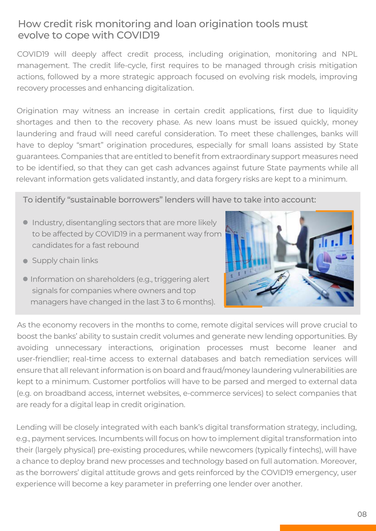#### How Credit risk monitoring and loan origination tools must evolve to Cope with COVID19

COVID19 will deeply affect credit process, including origination, monitoring and NPL management. The credit life-cycle, first requires to be managed through crisis mitigation actions, followed by a more strategic approach focused on evolving risk models, improving recovery processes and enhancing digitalization.

Origination may witness an increase in certain credit applications, first due to liquidity shortages and then to the recovery phase. As new loans must be issued quickly, money laundering and fraud will need careful consideration. To meet these challenges, banks will have to deploy "smart" origination procedures, especially for small loans assisted by State guarantees. Companies that are entitled to benefit from extraordinary support measures need to be identified, so that they can get cash advances against future State payments while all relevant information gets validated instantly, and data forgery risks are kept to a minimum.

To identify "sustainable borrowers" lenders will have to take into account:

- Industry, disentangling sectors that are more likely to be affected by COVID19 in a permanent way from candidates for a fast rebound
- Supply chain links



**Information on shareholders (e.g., triggering alert**  signals for companies where owners and top managers have changed in the last 3 to 6 months).

As the economy recovers in the months to come, remote digital services will prove crucial to boost the banks' ability to sustain credit volumes and generate new lending opportunities. By avoiding unnecessary interactions, origination processes must become leaner and user-friendlier; real-time access to external databases and batch remediation services will ensure that all relevant information is on board and fraud/money laundering vulnerabilities are kept to a minimum. Customer portfolios will have to be parsed and merged to external data (e.g. on broadband access, internet websites, e-commerce services) to select companies that are ready for a digital leap in credit origination.

Lending will be closely integrated with each bank's digital transformation strategy, including, e.g., payment services. Incumbents will focus on how to implement digital transformation into their (largely physical) pre-existing procedures, while newcomers (typically fintechs), will have a chance to deploy brand new processes and technology based on full automation. Moreover, as the borrowers' digital attitude grows and gets reinforced by the COVID19 emergency, user experience will become a key parameter in preferring one lender over another.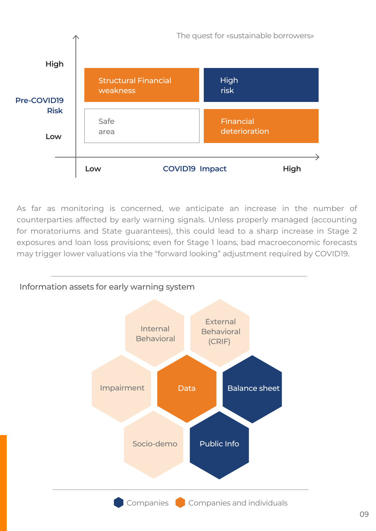

As far as monitoring is concerned, we anticipate an increase in the number of counterparties affected by early warning signals. Unless properly managed (accounting for moratoriums and State guarantees), this could lead to a sharp increase in Stage 2 exposures and loan loss provisions; even for Stage 1 loans, bad macroeconomic forecasts may trigger lower valuations via the "forward looking" adjustment required by COVID19.

#### Information assets for early warning system

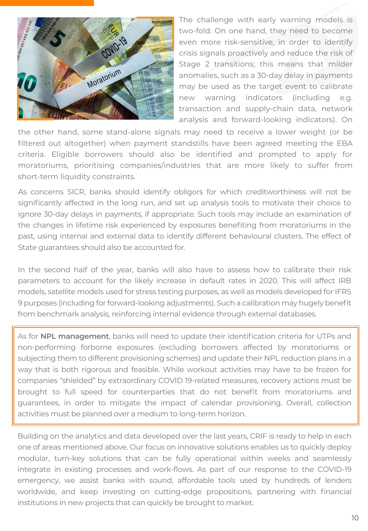

The challenge with early warning models is two-fold. On one hand, they need to become even more risk-sensitive, in order to identify crisis signals proactively and reduce the risk of Stage 2 transitions; this means that milder anomalies, such as a 30-day delay in payments may be used as the target event to calibrate new warning indicators (including e.g. transaction and supply-chain data, network analysis and forward-looking indicators). On

the other hand, some stand-alone signals may need to receive a lower weight (or be filtered out altogether) when payment standstills have been agreed meeting the EBA criteria. Eligible borrowers should also be identified and prompted to apply for moratoriums, prioritising companies/industries that are more likely to suffer from short-term liquidity constraints.

As concerns SICR, banks should identify obligors for which creditworthiness will not be significantly affected in the long run, and set up analysis tools to motivate their choice to ignore 30-day delays in payments, if appropriate. Such tools may include an examination of the changes in lifetime risk experienced by exposures benefiting from moratoriums in the past, using internal and external data to identify different behavioural clusters. The effect of State guarantees should also be accounted for.

In the second half of the year, banks will also have to assess how to calibrate their risk parameters to account for the likely increase in default rates in 2020. This will affect IRB models, satellite models used for stress testing purposes, as well as models developed for IFRS 9 purposes (including for forward-looking adjustments). Such a calibration may hugely benefit from benchmark analysis, reinforcing internal evidence through external databases.

As for **NPL management**, banks will need to update their identification criteria for UTPs and non-performing forborne exposures (excluding borrowers affected by moratoriums or subjecting them to different provisioning schemes) and update their NPL reduction plans in a way that is both rigorous and feasible. While workout activities may have to be frozen for companies "shielded" by extraordinary COVID 19-related measures, recovery actions must be brought to full speed for counterparties that do not benefit from moratoriums and guarantees, in order to mitigate the impact of calendar provisioning. Overall, collection activities must be planned over a medium to long-term horizon.

Building on the analytics and data developed over the last years, CRIF is ready to help in each one of areas mentioned above. Our focus on innovative solutions enables us to quickly deploy modular, turn-key solutions that can be fully operational within weeks and seamlessly integrate in existing processes and work-flows. As part of our response to the COVID-19 emergency, we assist banks with sound, affordable tools used by hundreds of lenders worldwide, and keep investing on cutting-edge propositions, partnering with financial institutions in new projects that can quickly be brought to market.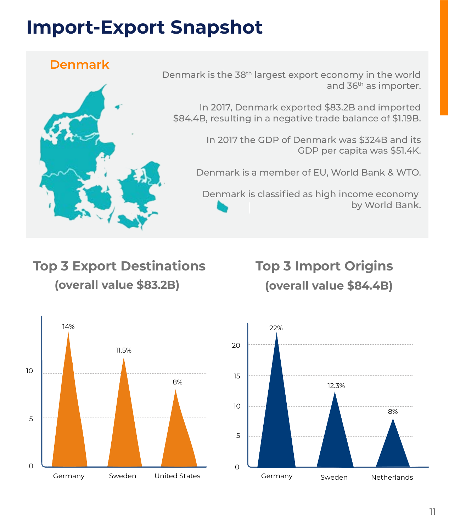### **Import-Export Snapshot**

#### **Denmark**



Denmark is the 38th largest export economy in the world and 36<sup>th</sup> as importer.

In 2017, Denmark exported \$83.2B and imported \$84.4B, resulting in a negative trade balance of \$1.19B.

> In 2017 the GDP of Denmark was \$324B and its GDP per capita was \$51.4K.

Denmark is a member of EU, World Bank & WTO.

Denmark is classified as high income economy by World Bank.

#### **Top 3 Export Destinations (overall value \$83.2B)**

### **Top 3 Import Origins (overall value \$84.4B)**



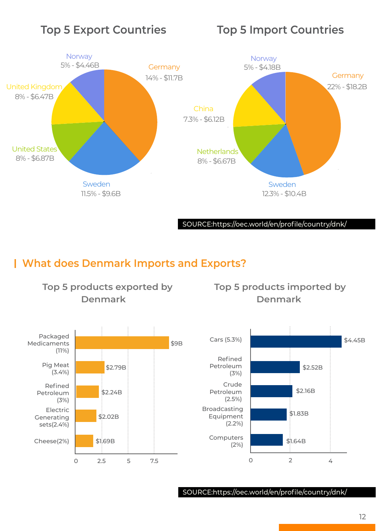#### **Top 5 Export Countries Top 5 Import Countries**



#### **What does Denmark Imports and Exports?**

#### **Top 5 products exported by Denmark**

#### **Top 5 products imported by Denmark**



SOURCE:https://oec.world/en/profile/country/dnk/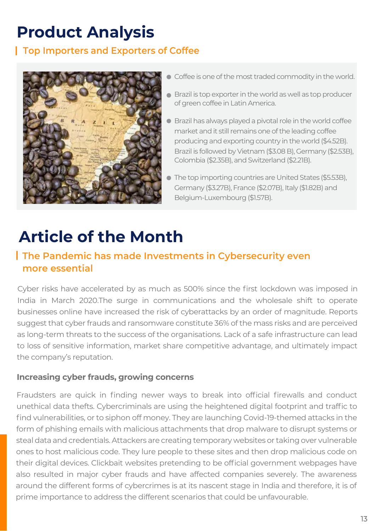### **Product Analysis**

#### **Top Importers and Exporters of Coffee**



- $\bullet$  Coffee is one of the most traded commodity in the world.
- Brazil is top exporter in the world as well as top producer of green coffee in Latin America.
- Brazil has always played a pivotal role in the world coffee market and it still remains one of the leading coffee producing and exporting country in the world (\$4.52B). Brazil is followed by Vietnam (\$3.08 B), Germany (\$2.53B), Colombia (\$2.35B), and Switzerland (\$2.21B).
- The top importing countries are United States (\$5.53B), Germany (\$3.27B), France (\$2.07B), Italy (\$1.82B) and Belgium-Luxembourg (\$1.57B).

### **Article of the Month**

#### **The Pandemic has made Investments in Cybersecurity even more essential**

Cyber risks have accelerated by as much as 500% since the first lockdown was imposed in India in March 2020.The surge in communications and the wholesale shift to operate businesses online have increased the risk of cyberattacks by an order of magnitude. Reports suggest that cyber frauds and ransomware constitute 36% of the mass risks and are perceived as long-term threats to the success of the organisations. Lack of a safe infrastructure can lead to loss of sensitive information, market share competitive advantage, and ultimately impact the company's reputation.

#### **Increasing cyber frauds, growing concerns**

Fraudsters are quick in finding newer ways to break into official firewalls and conduct unethical data thefts. Cybercriminals are using the heightened digital footprint and traffic to find vulnerabilities, or to siphon off money. They are launching Covid-19-themed attacks in the form of phishing emails with malicious attachments that drop malware to disrupt systems or steal data and credentials. Attackers are creating temporary websites or taking over vulnerable ones to host malicious code. They lure people to these sites and then drop malicious code on their digital devices. Clickbait websites pretending to be official government webpages have also resulted in major cyber frauds and have affected companies severely. The awareness around the different forms of cybercrimes is at its nascent stage in India and therefore, it is of prime importance to address the different scenarios that could be unfavourable.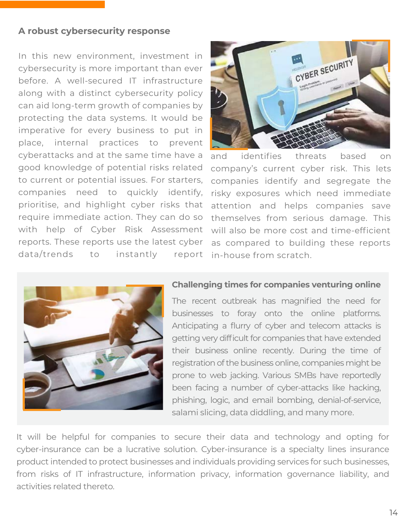#### **A robust cybersecurity response**

In this new environment, investment in cybersecurity is more important than ever before. A well-secured IT infrastructure along with a distinct cybersecurity policy can aid long-term growth of companies by protecting the data systems. It would be imperative for every business to put in place, internal practices to prevent cyberattacks and at the same time have a good knowledge of potential risks related to current or potential issues. For starters, companies need to quickly identify, prioritise, and highlight cyber risks that require immediate action. They can do so with help of Cyber Risk Assessment reports. These reports use the latest cyber data/trends to instantly report



and identifies threats based on company's current cyber risk. This lets companies identify and segregate the risky exposures which need immediate attention and helps companies save themselves from serious damage. This will also be more cost and time-efficient as compared to building these reports in-house from scratch.



#### **Challenging times for companies venturing online**

The recent outbreak has magnified the need for businesses to foray onto the online platforms. Anticipating a flurry of cyber and telecom attacks is getting very difficult for companies that have extended their business online recently. During the time of registration of the business online, companies might be prone to web jacking. Various SMBs have reportedly been facing a number of cyber-attacks like hacking, phishing, logic, and email bombing, denial-of-service, salami slicing, data diddling, and many more.

It will be helpful for companies to secure their data and technology and opting for cyber-insurance can be a lucrative solution. Cyber-insurance is a specialty lines insurance product intended to protect businesses and individuals providing services for such businesses, from risks of IT infrastructure, information privacy, information governance liability, and activities related thereto.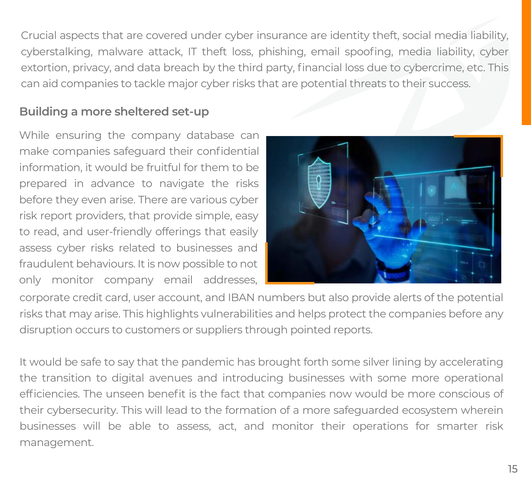Crucial aspects that are covered under cyber insurance are identity theft, social media liability, cyberstalking, malware attack, IT theft loss, phishing, email spoofing, media liability, cyber extortion, privacy, and data breach by the third party, financial loss due to cybercrime, etc. This can aid companies to tackle major cyber risks that are potential threats to their success.

#### **Building a more sheltered set-up**

While ensuring the company database can make companies safeguard their confidential information, it would be fruitful for them to be prepared in advance to navigate the risks before they even arise. There are various cyber risk report providers, that provide simple, easy to read, and user-friendly offerings that easily assess cyber risks related to businesses and fraudulent behaviours. It is now possible to not only monitor company email addresses,



corporate credit card, user account, and IBAN numbers but also provide alerts of the potential risks that may arise. This highlights vulnerabilities and helps protect the companies before any disruption occurs to customers or suppliers through pointed reports.

It would be safe to say that the pandemic has brought forth some silver lining by accelerating the transition to digital avenues and introducing businesses with some more operational efficiencies. The unseen benefit is the fact that companies now would be more conscious of their cybersecurity. This will lead to the formation of a more safeguarded ecosystem wherein businesses will be able to assess, act, and monitor their operations for smarter risk management.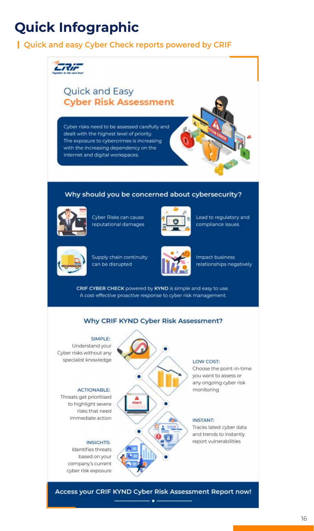### **Quick Infographic**

#### **Quick and easy Cyber Check reports powered by CRIF**



#### Why should you be concerned about cybersecurity?



Cyber Risks can cause reputational damages



Lead to regulatory and compliance issues



Supply chain continuity can be disrupted



Impact business relationships negatively

CRIF CYBER CHECK powered by KYND is simple and easy to use. A cost-effective proactive response to cyber risk management.

#### Why CRIF KYND Cyber Risk Assessment?

.<br>Viert

#### SIMPLE: Understand your Cyber risks without any specialist knowledge

#### **ACTIONABLE:**

Threats get prioritised to highlight severe risks that need immediate action

#### **INSIGHTS:**

Identifies threats based on your company's current cyber risk exposure

#### LOW COST:

Choose the point-in-time you want to assess or any ongoing cyber risk monitoring

#### **INSTANT:**

Tracks latest cyber data and trends to instantly report vulnerabilities

Access your CRIF KYND Cyber Risk Assessment Report now!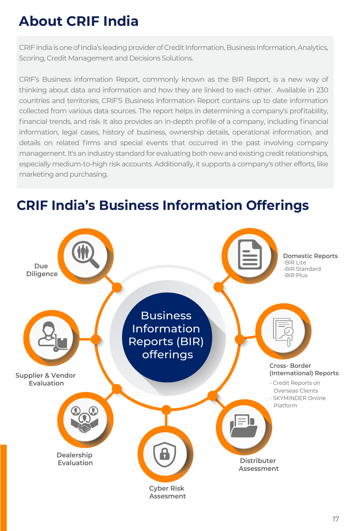### **About CRIF India**

CRIF India is one of India's leading provider of Credit Information, Business Information, Analytics, Scoring, Credit Management and Decisions Solutions.

CRIF's Business Information Report, commonly known as the BIR Report, is a new way of thinking about data and information and how they are linked to each other. Available in 230 countries and territories, CRIF'S Business Information Report contains up to date information collected from various data sources. The report helps in determining a company's profitability, financial trends, and risk. It also provides an in-depth profile of a company, including financial information, legal cases, history of business, ownership details, operational information, and details on related firms and special events that occurred in the past involving company management. It's an industry standard for evaluating both new and existing credit relationships, especially medium-to-high risk accounts. Additionally, it supports a company's other efforts, like marketing and purchasing.

### **CRIF India's Business Information Offerings**